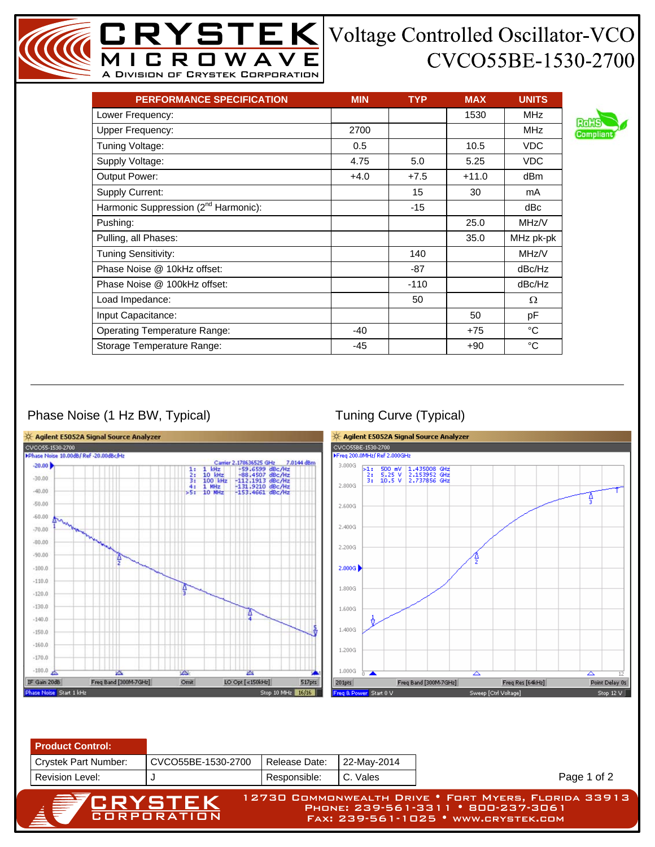## CVCO55BE-1530-2700

| <b>PERFORMANCE SPECIFICATION</b>                 | <b>MIN</b> | <b>TYP</b> | <b>MAX</b> | <b>UNITS</b> |
|--------------------------------------------------|------------|------------|------------|--------------|
| Lower Frequency:                                 |            |            | 1530       | <b>MHz</b>   |
| <b>Upper Frequency:</b>                          | 2700       |            |            | <b>MHz</b>   |
| Tuning Voltage:                                  | 0.5        |            | 10.5       | <b>VDC</b>   |
| Supply Voltage:                                  | 4.75       | 5.0        | 5.25       | <b>VDC</b>   |
| <b>Output Power:</b>                             | $+4.0$     | $+7.5$     | $+11.0$    | dBm          |
| Supply Current:                                  |            | 15         | 30         | mA           |
| Harmonic Suppression (2 <sup>nd</sup> Harmonic): |            | $-15$      |            | dBc          |
| Pushing:                                         |            |            | 25.0       | MHz/V        |
| Pulling, all Phases:                             |            |            | 35.0       | MHz pk-pk    |
| Tuning Sensitivity:                              |            | 140        |            | MHz/V        |
| Phase Noise @ 10kHz offset:                      |            | $-87$      |            | dBc/Hz       |
| Phase Noise @ 100kHz offset:                     |            | $-110$     |            | dBc/Hz       |
| Load Impedance:                                  |            | 50         |            | Ω            |
| Input Capacitance:                               |            |            | 50         | pF           |
| <b>Operating Temperature Range:</b>              | $-40$      |            | $+75$      | °C           |
| Storage Temperature Range:                       | -45        |            | $+90$      | °C           |

MICROWAVE A Division of Crystek Corporation

## Phase Noise (1 Hz BW, Typical) Tuning Curve (Typical)



Fax: 239-561-1025 • www.crystek.com